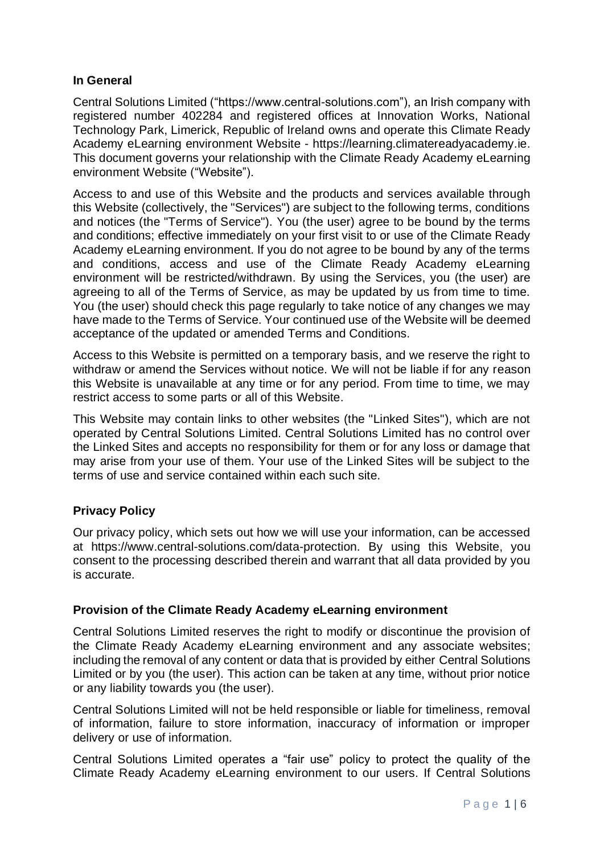## **In General**

Central Solutions Limited ("https://www.central-solutions.com"), an Irish company with registered number 402284 and registered offices at Innovation Works, National Technology Park, Limerick, Republic of Ireland owns and operate this Climate Ready Academy eLearning environment Website - [https://learning.climatereadyacademy.ie.](https://learning.climatereadyacademy.ie/) This document governs your relationship with the Climate Ready Academy eLearning environment Website ("Website").

Access to and use of this Website and the products and services available through this Website (collectively, the "Services") are subject to the following terms, conditions and notices (the "Terms of Service"). You (the user) agree to be bound by the terms and conditions; effective immediately on your first visit to or use of the Climate Ready Academy eLearning environment. If you do not agree to be bound by any of the terms and conditions, access and use of the Climate Ready Academy eLearning environment will be restricted/withdrawn. By using the Services, you (the user) are agreeing to all of the Terms of Service, as may be updated by us from time to time. You (the user) should check this page regularly to take notice of any changes we may have made to the Terms of Service. Your continued use of the Website will be deemed acceptance of the updated or amended Terms and Conditions.

Access to this Website is permitted on a temporary basis, and we reserve the right to withdraw or amend the Services without notice. We will not be liable if for any reason this Website is unavailable at any time or for any period. From time to time, we may restrict access to some parts or all of this Website.

This Website may contain links to other websites (the "Linked Sites"), which are not operated by Central Solutions Limited. Central Solutions Limited has no control over the Linked Sites and accepts no responsibility for them or for any loss or damage that may arise from your use of them. Your use of the Linked Sites will be subject to the terms of use and service contained within each such site.

# **Privacy Policy**

Our privacy policy, which sets out how we will use your information, can be accessed at https://www.central-solutions.com/data-protection. By using this Website, you consent to the processing described therein and warrant that all data provided by you is accurate.

### **Provision of the Climate Ready Academy eLearning environment**

Central Solutions Limited reserves the right to modify or discontinue the provision of the Climate Ready Academy eLearning environment and any associate websites; including the removal of any content or data that is provided by either Central Solutions Limited or by you (the user). This action can be taken at any time, without prior notice or any liability towards you (the user).

Central Solutions Limited will not be held responsible or liable for timeliness, removal of information, failure to store information, inaccuracy of information or improper delivery or use of information.

Central Solutions Limited operates a "fair use" policy to protect the quality of the Climate Ready Academy eLearning environment to our users. If Central Solutions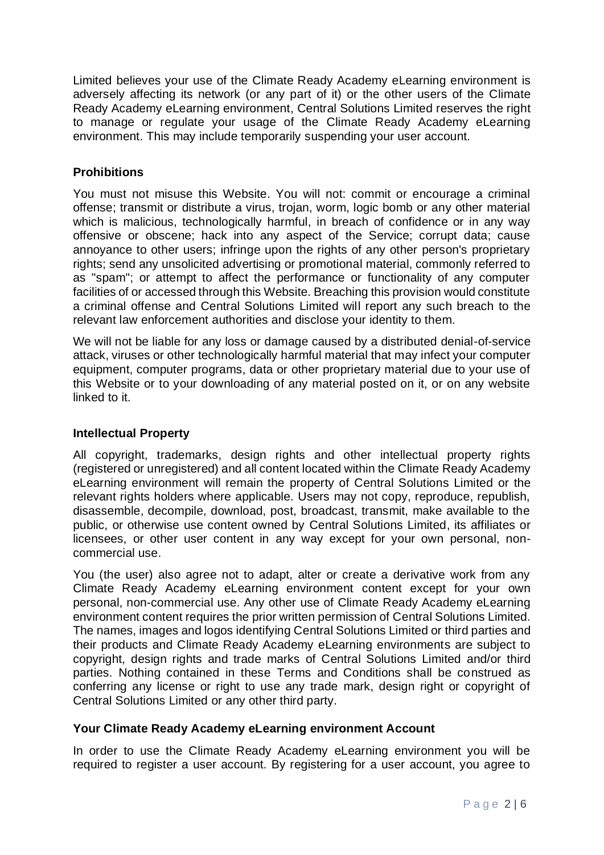Limited believes your use of the Climate Ready Academy eLearning environment is adversely affecting its network (or any part of it) or the other users of the Climate Ready Academy eLearning environment, Central Solutions Limited reserves the right to manage or regulate your usage of the Climate Ready Academy eLearning environment. This may include temporarily suspending your user account.

# **Prohibitions**

You must not misuse this Website. You will not: commit or encourage a criminal offense; transmit or distribute a virus, trojan, worm, logic bomb or any other material which is malicious, technologically harmful, in breach of confidence or in any way offensive or obscene; hack into any aspect of the Service; corrupt data; cause annoyance to other users; infringe upon the rights of any other person's proprietary rights; send any unsolicited advertising or promotional material, commonly referred to as "spam"; or attempt to affect the performance or functionality of any computer facilities of or accessed through this Website. Breaching this provision would constitute a criminal offense and Central Solutions Limited will report any such breach to the relevant law enforcement authorities and disclose your identity to them.

We will not be liable for any loss or damage caused by a distributed denial-of-service attack, viruses or other technologically harmful material that may infect your computer equipment, computer programs, data or other proprietary material due to your use of this Website or to your downloading of any material posted on it, or on any website linked to it.

### **Intellectual Property**

All copyright, trademarks, design rights and other intellectual property rights (registered or unregistered) and all content located within the Climate Ready Academy eLearning environment will remain the property of Central Solutions Limited or the relevant rights holders where applicable. Users may not copy, reproduce, republish, disassemble, decompile, download, post, broadcast, transmit, make available to the public, or otherwise use content owned by Central Solutions Limited, its affiliates or licensees, or other user content in any way except for your own personal, noncommercial use.

You (the user) also agree not to adapt, alter or create a derivative work from any Climate Ready Academy eLearning environment content except for your own personal, non-commercial use. Any other use of Climate Ready Academy eLearning environment content requires the prior written permission of Central Solutions Limited. The names, images and logos identifying Central Solutions Limited or third parties and their products and Climate Ready Academy eLearning environments are subject to copyright, design rights and trade marks of Central Solutions Limited and/or third parties. Nothing contained in these Terms and Conditions shall be construed as conferring any license or right to use any trade mark, design right or copyright of Central Solutions Limited or any other third party.

### **Your Climate Ready Academy eLearning environment Account**

In order to use the Climate Ready Academy eLearning environment you will be required to register a user account. By registering for a user account, you agree to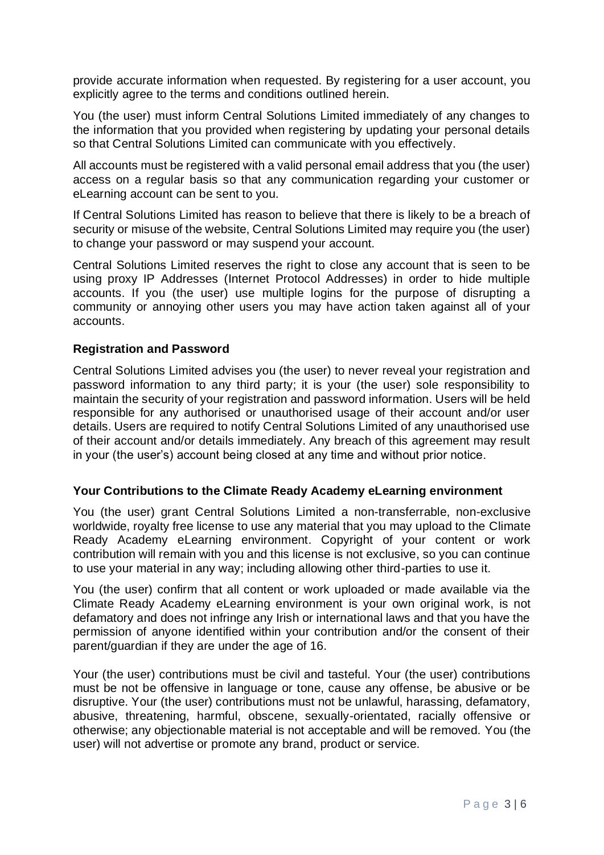provide accurate information when requested. By registering for a user account, you explicitly agree to the terms and conditions outlined herein.

You (the user) must inform Central Solutions Limited immediately of any changes to the information that you provided when registering by updating your personal details so that Central Solutions Limited can communicate with you effectively.

All accounts must be registered with a valid personal email address that you (the user) access on a regular basis so that any communication regarding your customer or eLearning account can be sent to you.

If Central Solutions Limited has reason to believe that there is likely to be a breach of security or misuse of the website, Central Solutions Limited may require you (the user) to change your password or may suspend your account.

Central Solutions Limited reserves the right to close any account that is seen to be using proxy IP Addresses (Internet Protocol Addresses) in order to hide multiple accounts. If you (the user) use multiple logins for the purpose of disrupting a community or annoying other users you may have action taken against all of your accounts.

#### **Registration and Password**

Central Solutions Limited advises you (the user) to never reveal your registration and password information to any third party; it is your (the user) sole responsibility to maintain the security of your registration and password information. Users will be held responsible for any authorised or unauthorised usage of their account and/or user details. Users are required to notify Central Solutions Limited of any unauthorised use of their account and/or details immediately. Any breach of this agreement may result in your (the user's) account being closed at any time and without prior notice.

#### **Your Contributions to the Climate Ready Academy eLearning environment**

You (the user) grant Central Solutions Limited a non-transferrable, non-exclusive worldwide, royalty free license to use any material that you may upload to the Climate Ready Academy eLearning environment. Copyright of your content or work contribution will remain with you and this license is not exclusive, so you can continue to use your material in any way; including allowing other third-parties to use it.

You (the user) confirm that all content or work uploaded or made available via the Climate Ready Academy eLearning environment is your own original work, is not defamatory and does not infringe any Irish or international laws and that you have the permission of anyone identified within your contribution and/or the consent of their parent/guardian if they are under the age of 16.

Your (the user) contributions must be civil and tasteful. Your (the user) contributions must be not be offensive in language or tone, cause any offense, be abusive or be disruptive. Your (the user) contributions must not be unlawful, harassing, defamatory, abusive, threatening, harmful, obscene, sexually-orientated, racially offensive or otherwise; any objectionable material is not acceptable and will be removed. You (the user) will not advertise or promote any brand, product or service.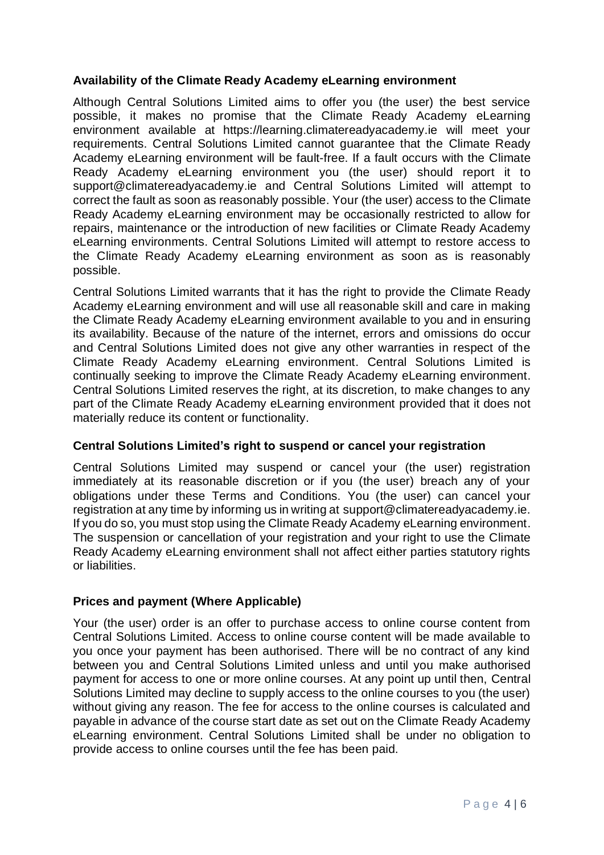## **Availability of the Climate Ready Academy eLearning environment**

Although Central Solutions Limited aims to offer you (the user) the best service possible, it makes no promise that the Climate Ready Academy eLearning environment available at [https://learning.climatereadyacademy.ie](https://learning.climatereadyacademy.ie/) will meet your requirements. Central Solutions Limited cannot guarantee that the Climate Ready Academy eLearning environment will be fault-free. If a fault occurs with the Climate Ready Academy eLearning environment you (the user) should report it to support@climatereadyacademy.ie and Central Solutions Limited will attempt to correct the fault as soon as reasonably possible. Your (the user) access to the Climate Ready Academy eLearning environment may be occasionally restricted to allow for repairs, maintenance or the introduction of new facilities or Climate Ready Academy eLearning environments. Central Solutions Limited will attempt to restore access to the Climate Ready Academy eLearning environment as soon as is reasonably possible.

Central Solutions Limited warrants that it has the right to provide the Climate Ready Academy eLearning environment and will use all reasonable skill and care in making the Climate Ready Academy eLearning environment available to you and in ensuring its availability. Because of the nature of the internet, errors and omissions do occur and Central Solutions Limited does not give any other warranties in respect of the Climate Ready Academy eLearning environment. Central Solutions Limited is continually seeking to improve the Climate Ready Academy eLearning environment. Central Solutions Limited reserves the right, at its discretion, to make changes to any part of the Climate Ready Academy eLearning environment provided that it does not materially reduce its content or functionality.

### **Central Solutions Limited's right to suspend or cancel your registration**

Central Solutions Limited may suspend or cancel your (the user) registration immediately at its reasonable discretion or if you (the user) breach any of your obligations under these Terms and Conditions. You (the user) can cancel your registration at any time by informing us in writing at [support@climatereadyacademy.ie.](mailto:support@climatereadyacademy.ie) If you do so, you must stop using the Climate Ready Academy eLearning environment. The suspension or cancellation of your registration and your right to use the Climate Ready Academy eLearning environment shall not affect either parties statutory rights or liabilities.

### **Prices and payment (Where Applicable)**

Your (the user) order is an offer to purchase access to online course content from Central Solutions Limited. Access to online course content will be made available to you once your payment has been authorised. There will be no contract of any kind between you and Central Solutions Limited unless and until you make authorised payment for access to one or more online courses. At any point up until then, Central Solutions Limited may decline to supply access to the online courses to you (the user) without giving any reason. The fee for access to the online courses is calculated and payable in advance of the course start date as set out on the Climate Ready Academy eLearning environment. Central Solutions Limited shall be under no obligation to provide access to online courses until the fee has been paid.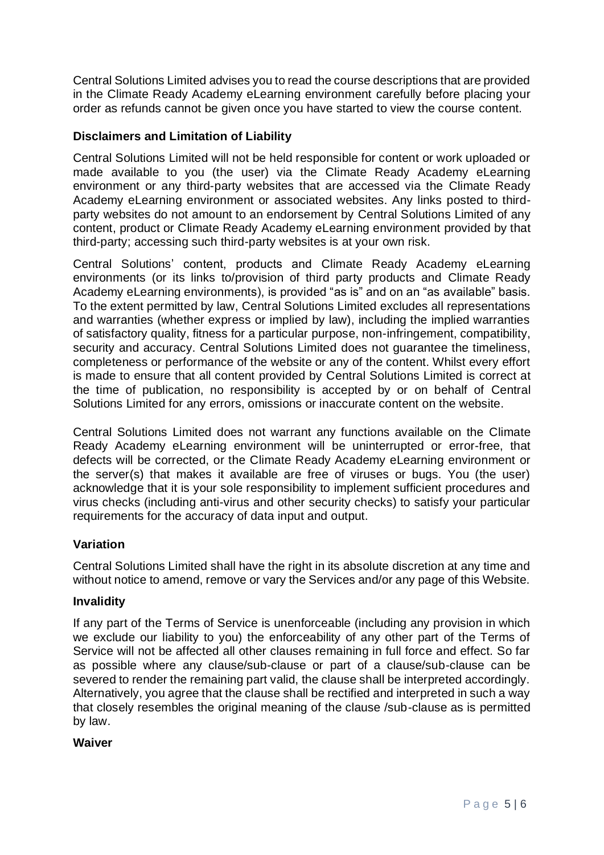Central Solutions Limited advises you to read the course descriptions that are provided in the Climate Ready Academy eLearning environment carefully before placing your order as refunds cannot be given once you have started to view the course content.

# **Disclaimers and Limitation of Liability**

Central Solutions Limited will not be held responsible for content or work uploaded or made available to you (the user) via the Climate Ready Academy eLearning environment or any third-party websites that are accessed via the Climate Ready Academy eLearning environment or associated websites. Any links posted to thirdparty websites do not amount to an endorsement by Central Solutions Limited of any content, product or Climate Ready Academy eLearning environment provided by that third-party; accessing such third-party websites is at your own risk.

Central Solutions' content, products and Climate Ready Academy eLearning environments (or its links to/provision of third party products and Climate Ready Academy eLearning environments), is provided "as is" and on an "as available" basis. To the extent permitted by law, Central Solutions Limited excludes all representations and warranties (whether express or implied by law), including the implied warranties of satisfactory quality, fitness for a particular purpose, non-infringement, compatibility, security and accuracy. Central Solutions Limited does not guarantee the timeliness, completeness or performance of the website or any of the content. Whilst every effort is made to ensure that all content provided by Central Solutions Limited is correct at the time of publication, no responsibility is accepted by or on behalf of Central Solutions Limited for any errors, omissions or inaccurate content on the website.

Central Solutions Limited does not warrant any functions available on the Climate Ready Academy eLearning environment will be uninterrupted or error-free, that defects will be corrected, or the Climate Ready Academy eLearning environment or the server(s) that makes it available are free of viruses or bugs. You (the user) acknowledge that it is your sole responsibility to implement sufficient procedures and virus checks (including anti-virus and other security checks) to satisfy your particular requirements for the accuracy of data input and output.

### **Variation**

Central Solutions Limited shall have the right in its absolute discretion at any time and without notice to amend, remove or vary the Services and/or any page of this Website.

### **Invalidity**

If any part of the Terms of Service is unenforceable (including any provision in which we exclude our liability to you) the enforceability of any other part of the Terms of Service will not be affected all other clauses remaining in full force and effect. So far as possible where any clause/sub-clause or part of a clause/sub-clause can be severed to render the remaining part valid, the clause shall be interpreted accordingly. Alternatively, you agree that the clause shall be rectified and interpreted in such a way that closely resembles the original meaning of the clause /sub-clause as is permitted by law.

### **Waiver**